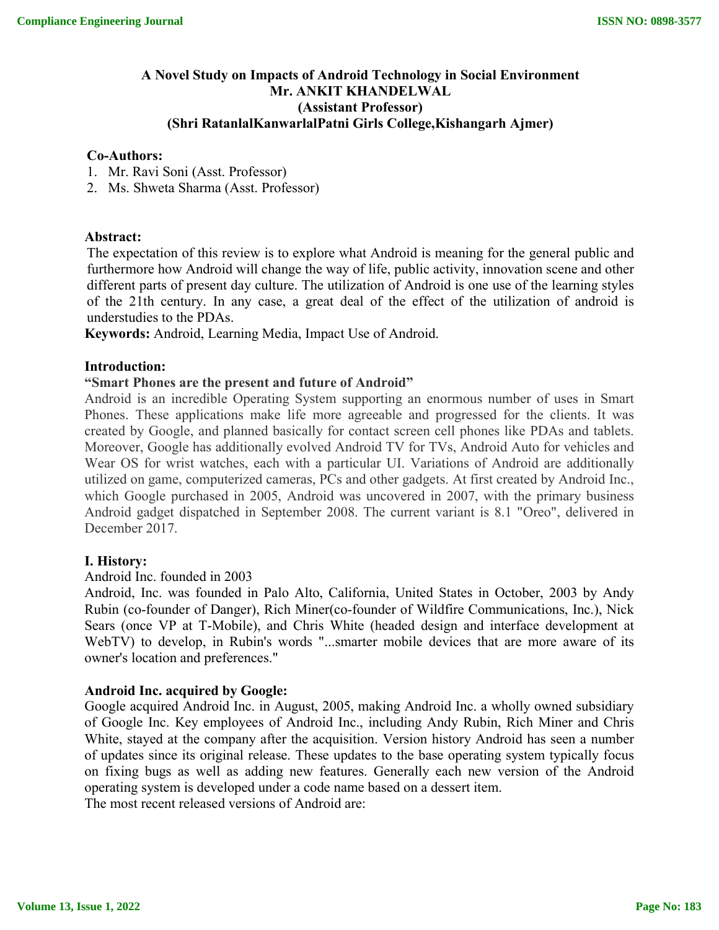### **A Novel Study on Impacts of Android Technology in Social Environment Mr. ANKIT KHANDELWAL (Assistant Professor) (Shri RatanlalKanwarlalPatni Girls College,Kishangarh Ajmer)**

#### **Co-Authors:**

- 1. Mr. Ravi Soni (Asst. Professor)
- 2. Ms. Shweta Sharma (Asst. Professor)

#### **Abstract:**

The expectation of this review is to explore what Android is meaning for the general public and furthermore how Android will change the way of life, public activity, innovation scene and other different parts of present day culture. The utilization of Android is one use of the learning styles of the 21th century. In any case, a great deal of the effect of the utilization of android is understudies to the PDAs.

**Keywords:** Android, Learning Media, Impact Use of Android.

#### **Introduction:**

#### **"Smart Phones are the present and future of Android"**

Android is an incredible Operating System supporting an enormous number of uses in Smart Phones. These applications make life more agreeable and progressed for the clients. It was created by Google, and planned basically for contact screen cell phones like PDAs and tablets. Moreover, Google has additionally evolved Android TV for TVs, Android Auto for vehicles and Wear OS for wrist watches, each with a particular UI. Variations of Android are additionally utilized on game, computerized cameras, PCs and other gadgets. At first created by Android Inc., which Google purchased in 2005, Android was uncovered in 2007, with the primary business Android gadget dispatched in September 2008. The current variant is 8.1 "Oreo", delivered in December 2017.

#### **I. History:**

#### Android Inc. founded in 2003

Android, Inc. was founded in Palo Alto, California, United States in October, 2003 by Andy Rubin (co-founder of Danger), Rich Miner(co-founder of Wildfire Communications, Inc.), Nick Sears (once VP at T-Mobile), and Chris White (headed design and interface development at WebTV) to develop, in Rubin's words "...smarter mobile devices that are more aware of its owner's location and preferences."

#### **Android Inc. acquired by Google:**

Google acquired Android Inc. in August, 2005, making Android Inc. a wholly owned subsidiary of Google Inc. Key employees of Android Inc., including Andy Rubin, Rich Miner and Chris White, stayed at the company after the acquisition. Version history Android has seen a number of updates since its original release. These updates to the base operating system typically focus on fixing bugs as well as adding new features. Generally each new version of the Android operating system is developed under a code name based on a dessert item.

The most recent released versions of Android are: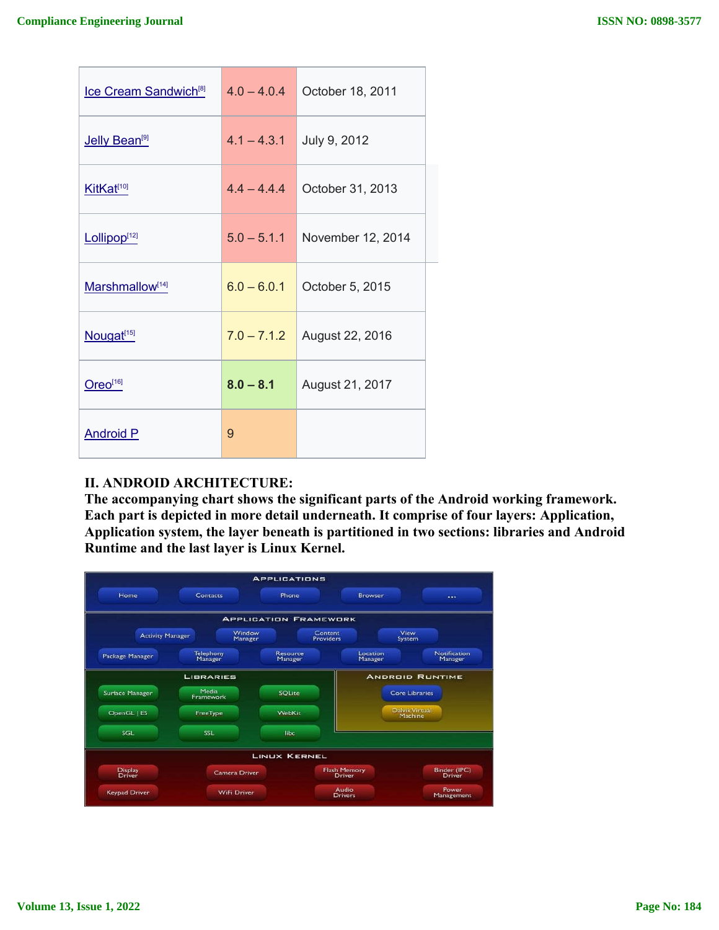| Ice Cream Sandwich <sup>[8]</sup> | $4.0 - 4.0.4$ | October 18, 2011  |  |
|-----------------------------------|---------------|-------------------|--|
| Jelly Bean <sup>[9]</sup>         | $4.1 - 4.3.1$ | July 9, 2012      |  |
| KitKat <sup>[10]</sup>            | $4.4 - 4.4.4$ | October 31, 2013  |  |
| Lollipop <sup>[12]</sup>          | $5.0 - 5.1.1$ | November 12, 2014 |  |
| Marshmallow[14]                   | $6.0 - 6.0.1$ | October 5, 2015   |  |
| Nougat <sup>[15]</sup>            | $7.0 - 7.1.2$ | August 22, 2016   |  |
| Oreo <sup>[16]</sup>              | $8.0 - 8.1$   | August 21, 2017   |  |
| <b>Android P</b>                  | 9             |                   |  |

## **II. ANDROID ARCHITECTURE:**

**The accompanying chart shows the significant parts of the Android working framework. significant Android Each part is depicted in more detail underneath. It comprise of four layers: Application, Application system, the layer beneath is partitioned in two sections: libraries and Android Runtime and the last layer is Linux Kernel.**

|                          |                      | <b>APPLICATIONS</b>          |                                      |                                  |
|--------------------------|----------------------|------------------------------|--------------------------------------|----------------------------------|
| Home                     | Contacts             | Phone                        | Browser                              | $\cdots$                         |
|                          |                      | <b>APPLICATION FRAMEWORK</b> |                                      |                                  |
| <b>Activity Manager</b>  | Window<br>Manager    |                              | Content<br><b>Providers</b>          | View<br>System                   |
| Package Manager          | Telephony<br>Manager | Resource<br>Manager          | Location<br>Manager                  | Notification<br>Manager          |
|                          | <b>LIBRARIES</b>     |                              |                                      | <b>ANDROID RUNTIME</b>           |
| Surface Manager          | Media<br>Framework   | <b>SOLite</b>                |                                      | <b>Core Libraries</b>            |
| OpenGL   ES              | FreeType             | WebKit                       |                                      | <b>Daivik Virtual</b><br>Machine |
| SGL                      | <b>SSL</b>           | libe                         |                                      |                                  |
|                          |                      | <b>LINUX KERNEL</b>          |                                      |                                  |
| <b>Display</b><br>Driver | <b>Camera Driver</b> |                              | <b>Flash Memory</b><br><b>Driver</b> | Binder (IPC)<br><b>Driver</b>    |
| <b>Keypad Driver</b>     | <b>WiFi Driver</b>   |                              | <b>Audio</b><br><b>Drivers</b>       | Power<br>Management              |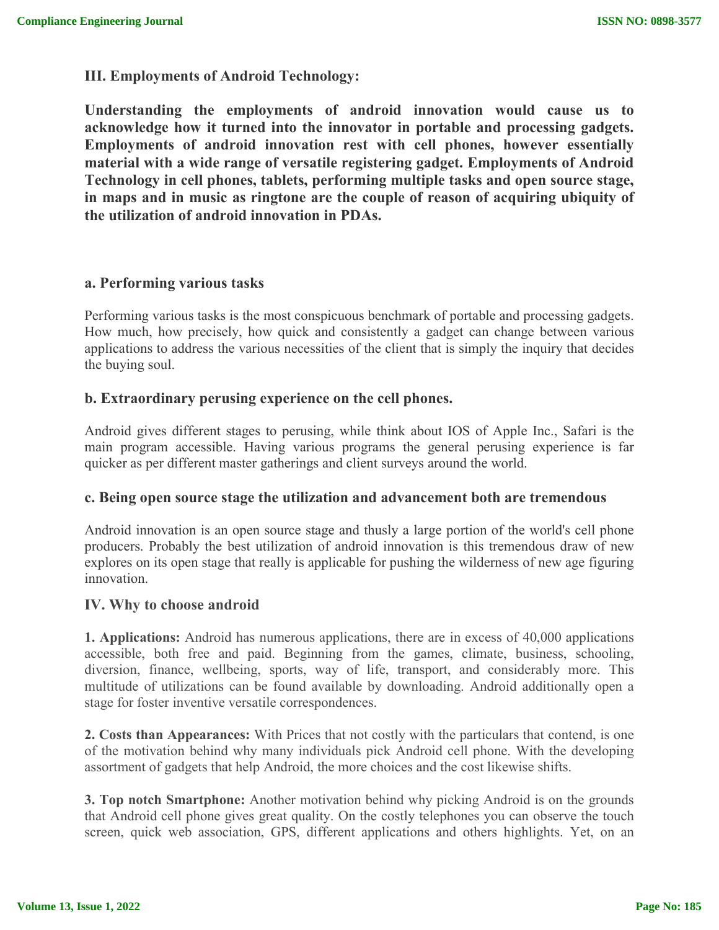**III. Employments of Android Technology:**

**Understanding the employments of android innovation would cause us to acknowledge how it turned into the innovator in portable and processing gadgets. Employments of android innovation rest with cell phones, however essentially material with a wide range of versatile registering gadget. Employments of Android Technology in cell phones, tablets, performing multiple tasks and open source stage, in maps and in music as ringtone are the couple of reason of acquiring ubiquity of the utilization of android innovation in PDAs.**

## **a. Performing various tasks**

Performing various tasks is the most conspicuous benchmark of portable and processing gadgets. How much, how precisely, how quick and consistently a gadget can change between various applications to address the various necessities of the client that is simply the inquiry that decides the buying soul.

## **b. Extraordinary perusing experience on the cell phones.**

Android gives different stages to perusing, while think about IOS of Apple Inc., Safari is the main program accessible. Having various programs the general perusing experience is far quicker as per different master gatherings and client surveys around the world.

## **c. Being open source stage the utilization and advancement both are tremendous**

Android innovation is an open source stage and thusly a large portion of the world's cell phone producers. Probably the best utilization of android innovation is this tremendous draw of new explores on its open stage that really is applicable for pushing the wilderness of new age figuring innovation.

## **IV. Why to choose android**

**1. Applications:** Android has numerous applications, there are in excess of 40,000 applications accessible, both free and paid. Beginning from the games, climate, business, schooling, diversion, finance, wellbeing, sports, way of life, transport, and considerably more. This multitude of utilizations can be found available by downloading. Android additionally open a stage for foster inventive versatile correspondences.

**2. Costs than Appearances:** With Prices that not costly with the particulars that contend, is one of the motivation behind why many individuals pick Android cell phone. With the developing assortment of gadgets that help Android, the more choices and the cost likewise shifts.

**3. Top notch Smartphone:** Another motivation behind why picking Android is on the grounds that Android cell phone gives great quality. On the costly telephones you can observe the touch screen, quick web association, GPS, different applications and others highlights. Yet, on an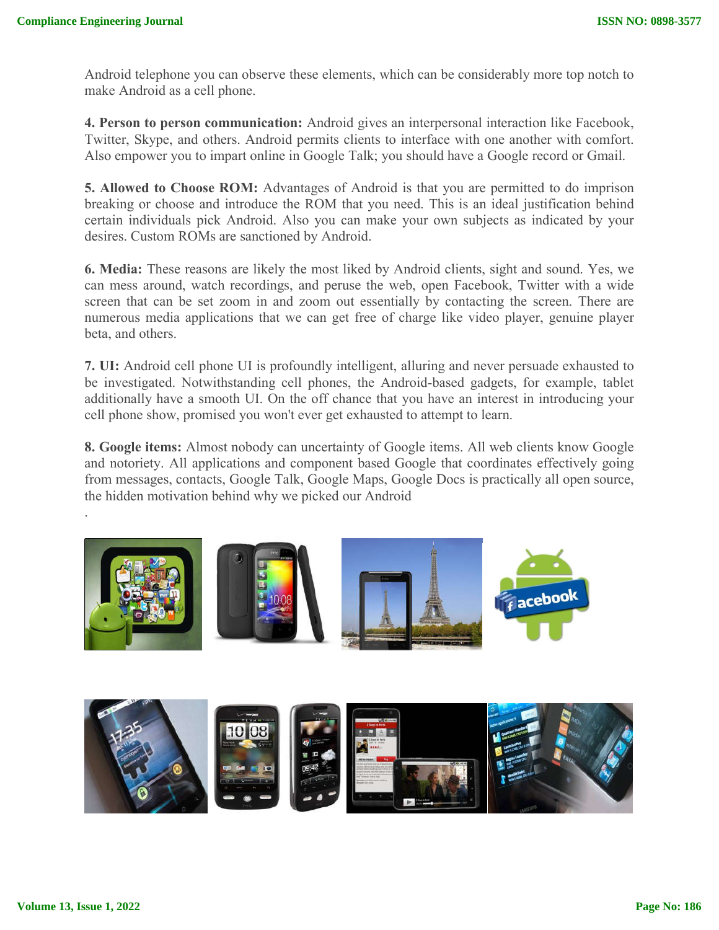Android telephone you can observe these elements, which can be considerably more top notch to make Android as a cell phone.

**4. Person to person communication:** Android gives an interpersonal interaction like Facebook, Twitter, Skype, and others. Android permits clients to interface with one another with comfort. Also empower you to impart online in Google Talk; you should have a Google record or Gmail.

**5. Allowed to Choose ROM:** Advantages of Android is that you are permitted to do imprison breaking or choose and introduce the ROM that you need. This is an ideal justification behind certain individuals pick Android. Also you can make your own subjects as indicated by your desires. Custom ROMs are sanctioned by Android.

**6. Media:** These reasons are likely the most liked by Android clients, sight and sound. Yes, we can mess around, watch recordings, and peruse the web, open Facebook, Twitter with a wide screen that can be set zoom in and zoom out essentially by contacting the screen. There are numerous media applications that we can get free of charge like video player, genuine player beta, and others.

**7. UI:** Android cell phone UI is profoundly intelligent, alluring and never persuade exhausted to be investigated. Notwithstanding cell phones, the Android-based gadgets, for example, tablet additionally have a smooth UI. On the off chance that you have an interest in introducing your cell phone show, promised you won't ever get exhausted to attempt to learn.

**8. Google items:** Almost nobody can uncertainty of Google items. All web clients know Google and notoriety. All applications and component based Google that coordinates effectively going from messages, contacts, Google Talk, Google Maps, Google Docs is practically all open source, the hidden motivation behind why we picked our Android





.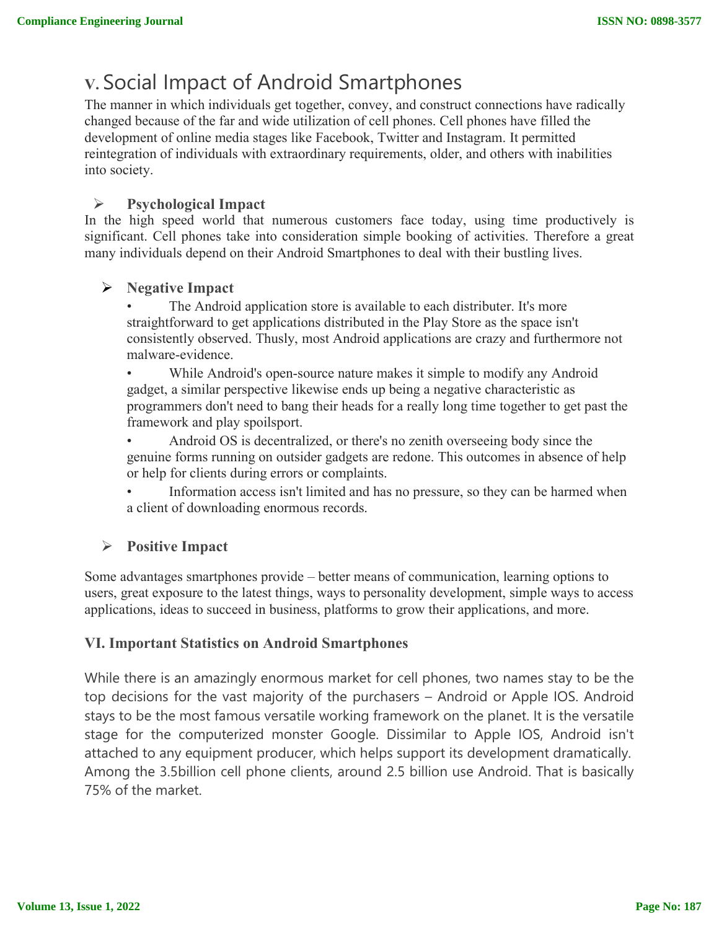# **V.** Social Impact of Android Smartphones

The manner in which individuals get together, convey, and construct connections have radically changed because of the far and wide utilization of cell phones. Cell phones have filled the development of online media stages like Facebook, Twitter and Instagram. It permitted reintegration of individuals with extraordinary requirements, older, and others with inabilities into society.

## **Psychological Impact**

In the high speed world that numerous customers face today, using time productively is significant. Cell phones take into consideration simple booking of activities. Therefore a great many individuals depend on their Android Smartphones to deal with their bustling lives.

## **Negative Impact**

The Android application store is available to each distributer. It's more straightforward to get applications distributed in the Play Store as the space isn't consistently observed. Thusly, most Android applications are crazy and furthermore not malware-evidence.

While Android's open-source nature makes it simple to modify any Android gadget, a similar perspective likewise ends up being a negative characteristic as programmers don't need to bang their heads for a really long time together to get past the framework and play spoilsport.

• Android OS is decentralized, or there's no zenith overseeing body since the genuine forms running on outsider gadgets are redone. This outcomes in absence of help or help for clients during errors or complaints.

Information access isn't limited and has no pressure, so they can be harmed when a client of downloading enormous records.

# **Positive Impact**

Some advantages smartphones provide – better means of communication, learning options to users, great exposure to the latest things, ways to personality development, simple ways to access applications, ideas to succeed in business, platforms to grow their applications, and more.

## **VI. Important Statistics on Android Smartphones**

While there is an amazingly enormous market for cell phones, two names stay to be the top decisions for the vast majority of the purchasers – Android or Apple IOS. Android stays to be the most famous versatile working framework on the planet. It is the versatile stage for the computerized monster Google. Dissimilar to Apple IOS, Android isn't attached to any equipment producer, which helps support its development dramatically. Among the 3.5billion cell phone clients, around 2.5 billion use Android. That is basically 75% of the market.